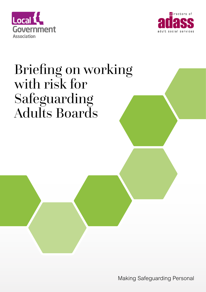



# Briefing on working with risk for Safeguarding Adults Boards

Making Safeguarding Personal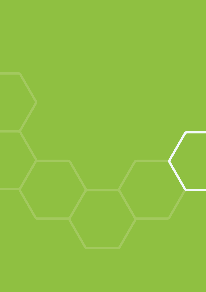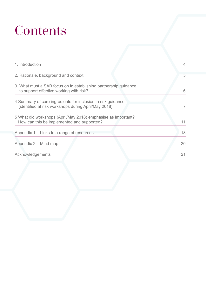# **Contents**

| 1. Introduction                                                                                                      | $\overline{4}$ |
|----------------------------------------------------------------------------------------------------------------------|----------------|
| 2. Rationale, background and context                                                                                 | 5              |
| 3. What must a SAB focus on in establishing partnership guidance<br>to support effective working with risk?          | 6              |
| 4 Summary of core ingredients for inclusion in risk guidance<br>(identified at risk workshops during April/May 2018) | $\overline{7}$ |
| 5 What did workshops (April/May 2018) emphasise as important?<br>How can this be implemented and supported?          | 11             |
| Appendix 1 – Links to a range of resources.                                                                          | 18             |
| Appendix 2 – Mind map                                                                                                | 20             |
| Acknowledgements                                                                                                     | 21             |
|                                                                                                                      |                |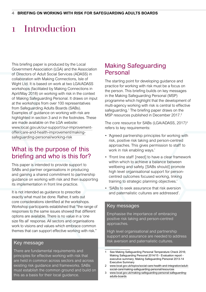## 1 Introduction

This briefing paper is produced by the Local Government Association (LGA) and the Association of Directors of Adult Social Services (ADASS) in collaboration with Making Connections, Isle of Wight Ltd. It is based on work at two LGA/ADASS workshops (facilitated by Making Connections in April/May 2018) on working with risk in the context of Making Safeguarding Personal. It draws on input at the workshops from over 100 representatives from Safeguarding Adults Boards (SABs). Examples of guidance on working with risk are highlighted in section 3 and in the footnotes. These are made available on the LGA website: [www.local.gov.uk/our-support/our-improvement](http://www.local.gov.uk/our-support/our-improvement-offer/care-and-health-improvement/making-safeguarding-personal/working-risk)[offer/care-and-health-improvement/making](http://www.local.gov.uk/our-support/our-improvement-offer/care-and-health-improvement/making-safeguarding-personal/working-risk)[safeguarding-personal/working-risk](http://www.local.gov.uk/our-support/our-improvement-offer/care-and-health-improvement/making-safeguarding-personal/working-risk)

## What is the purpose of this briefing and who is this for?

This paper is intended to provide support to SABs and partner organisations in producing and gaining a shared commitment to partnership guidance on working with risk and then supporting its implementation in front line practice.

It is not intended as guidance to prescribe exactly what must be done. Rather, it sets out core considerations identified at the workshops. Workshop participants established that "the range of responses to the same issues showed that different options are available. There is no value in a 'one size fits all' response. All sectors and organisations work to visions and values which embrace common themes that can support effective working with risk."

### Key message

There are fundamental requirements and principles for effective working with risk that are held in common across sectors and across existing risk guidance and frameworks. SABs must establish the common ground and build on this as a basis for their local guidance.

### Making Safeguarding Personal

The starting point for developing guidance and practice for working with risk must be a focus on the person. This briefing builds on key messages in the Making Safeguarding Personal (MSP) programme which highlight that the development of multi-agency working with risk is central to effective safeguarding.<sup>1</sup> The briefing paper draws on the MSP resources published in December 2017.<sup>2</sup>

The core resource for SABs (LGA/ADASS, 2017)<sup>3</sup> refers to key requirements:

- 'Agreed partnership principles for working with risk, positive risk taking and person-centred approaches. This gives permission to staff to work in risk enabling ways.'
- 'Front line staff [need] to have a clear framework within which to achieve a balance between wellbeing and safety. [SABs should] promote high level organisational support for personcentred outcomes focused working, linking training to strategic planning objectives.'
- 'SABs to seek assurance that risk aversion and paternalistic cultures are addressed'.

#### Key messages

Emphasise the importance of embracing positive risk taking and person-centred approaches.

High level organisational and partnership support and assurance are needed to address risk aversion and paternalistic cultures.

- 1 See Making Safeguarding Personal Temperature Check 2016; Making Safeguarding Personal 2014/15 - Evaluation report executive summary; Making Safeguarding Personal 2013-14 Executive Summary
- 2 [www.local.gov.uk/topics/social-care-health-and-integration/adult](http://www.local.gov.uk/topics/social-care-health-and-integration/adult-social-care/making-safeguarding-personal/resources)[social-care/making-safeguarding-personal/resources](http://www.local.gov.uk/topics/social-care-health-and-integration/adult-social-care/making-safeguarding-personal/resources)
- 3 [www.local.gov.uk/making-safeguarding-personal-safeguarding](http://www.local.gov.uk/making-safeguarding-personal-safeguarding-adults-boards)[adults-boards](http://www.local.gov.uk/making-safeguarding-personal-safeguarding-adults-boards)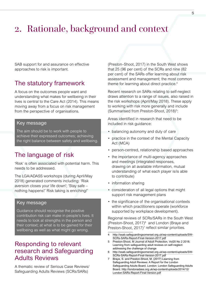## 2. Rationale, background and context

SAB support for and assurance on effective approaches to risk is important.

## The statutory framework

A focus on the outcomes people want and understanding what makes for wellbeing in their lives is central to the Care Act (2014). This means moving away from a focus on risk management from the perspective of organisations.

#### Key message

The aim should be to work with people to achieve their expressed outcomes; achieving the right balance between safety and wellbeing.

### The language of risk

'Risk' is often associated with potential harm. This needs to be addressed.

The LGA/ADASS workshops (during April/May 2018) generated comments including: 'Risk aversion closes your life down'; 'Stay safe – nothing happens!' Risk taking is enriching!'

### Key message

Guidance should recognise the positive contribution risk can make in people's lives. It needs to look at strengths in the person and their context; at what is to be gained for their wellbeing as well as what might go wrong.

### Responding to relevant research and Safeguarding Adults Reviews

A thematic review of Serious Case Reviews/ Safeguarding Adults Reviews (SCRs/SARs)

(Preston–Shoot, 2017) in the South West shows that 25 (96 per cent) of the SCRs and nine (82 per cent) of the SARs offer learning about risk assessment and management; the most common theme for learning about direct practice.<sup>4</sup>

Recent research on SARs relating to self-neglect draws attention to a range of issues, also raised in the risk workshops (April/May 2018). These apply to working with risk more generally and include (Summarised from Preston-Shoot, 2018)<sup>5</sup>:

Areas identified in research that need to be included in risk guidance:

- balancing autonomy and duty of care
- practice in the context of the Mental Capacity Act (MCA)
- person-centred, relationship based approaches
- the importance of multi-agency approaches and meetings (integrated responses, drawing on all available information, mutual understanding of what each player is/is able to contribute)
- information sharing
- consideration of all legal options that might support risk management plans
- the significance of the organisational contexts within which practitioners operate (workforce supported by workplace development).

Regional reviews of SCRs/SARs in the South West (Preston-Shoot, 2017)<sup>6</sup> and London (Braye and Preston-Shoot, 2017)<sup>7</sup> reflect similar priorities.

- 4 [http://ssab.safeguardingsomerset.org.uk/wp-content/uploads/SW-](http://ssab.safeguardingsomerset.org.uk/wp-content/uploads/SW-SCRs-SARs-Report-Final-Version-2017.pdf)[SCRs-SARs-Report-Final-Version-2017.pdf](http://ssab.safeguardingsomerset.org.uk/wp-content/uploads/SW-SCRs-SARs-Report-Final-Version-2017.pdf)
- 5 Preston-Shoot, M Journal of Adult Protection, Vol20 No 2 2018; Learning from safeguarding adult reviews on self-neglect: addressing the challenge of change
- 6 http://ssab.safeguardingsomerset.org.uk/wp-content/uploads/SW-SCRs-SARs-Report-Final-Version-2017.pdf
- Braye, S. and Preston-Shoot, M. (2017) Learning from Safeguarding Adult Reviews: A Report for the London Safeguarding Adults Board. London: London Safeguarding Adults Board. [http://londonadass.org.uk/wp-content/uploads/2014/12/](http://londonadass.org.uk/wp-content/uploads/2014/12/London-SARs-Report-Final-Version.pdf) [London-SARs-Report-Final-Version.pdf](http://londonadass.org.uk/wp-content/uploads/2014/12/London-SARs-Report-Final-Version.pdf)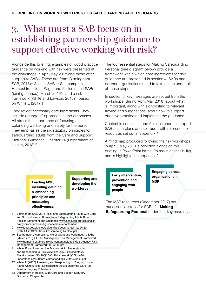## 3. What must a SAB focus on in establishing partnership guidance to support effective working with risk?

Alongside this briefing, examples of good practice guidance on working with risk were presented at the workshops in April/May 2018 and these offer support to SABs. These are from: Birmingham SAB, 2018);<sup>8</sup> Solihull SAB, ;<sup>9</sup> Southampton, Hampshire, Isle of Wight and Portsmouth LSABs (joint guidance), March 2016<sup>10</sup> and a risk framework (White and Lawson, 2018)<sup>11</sup> based on White E (2017.)<sup>12</sup>

They reflect necessary core ingredients. They include a range of approaches and emphases. All stress the importance of focusing on balancing wellbeing and safety for the person. They emphasise the six statutory principles for safeguarding adults from the Care and Support Statutory Guidance, Chapter 14 (Department of Health,  $2018$ <sup>13</sup>

The four essential steps for Making Safeguarding Personal (see diagram below) provide a framework within which core ingredients for risk guidance are presented in section 4. SABs and partner organisations need to take action under all of these steps.

In section 5, key messages are set out from the workshops (during April/May 2018) about what is important, along with signposting to relevant advice and suggestions, about how to support effective practice and implement the guidance.

Content in sections 4 and 5 is designed to support SAB action plans and self-audit with reference to resources set out in appendix 1.

A mind map produced following the risk workshops in April / May 2018 is provided alongside this briefing in PowerPoint format (to assist accessibility) and is highlighted in appendix 2.

**Leading MSP, including defining & embedding principles and measuring effectiveness**

**Supporting and developing the workforce**

**Early intervention, prevention and engaging with people**

**Engaging across organisations in MSP**

The MSP resources (December 2017) set out essential steps for SABs for **Making Safeguarding Personal** under four key headings

8 Birmingham SAB, 2018, Risk and Safeguarding Adults with Care and Support Needs; Birmingham Safeguarding Adults Board Position Statement and Guidance, [www.bsab.org/professionals/](http://www.bsab.org/professionals/policy-procedures-and-guidance/risk-enablement/) [policy-procedures-and-guidance/risk-enablement/](http://www.bsab.org/professionals/policy-procedures-and-guidance/risk-enablement/)

- [www.local.gov.uk/sites/default/files/documents/1%29%20](http://www.local.gov.uk/sites/default/files/documents/1%29%20Solihull%20SG%20risk%20screening%20tool.pdf) [Solihull%20SG%20risk%20screening%20tool.pdf](http://www.local.gov.uk/sites/default/files/documents/1%29%20Solihull%20SG%20risk%20screening%20tool.pdf)
- 10 Southampton; Hampshire; Isle of Wight and Portsmouth LSABs (March 2016) 4 LSAB Multiagency Risk Management Framework [www.hampshiresab.org.uk/wp-content/uploads/Multi-Agency-Risk-](http://www.hampshiresab.org.uk/wp-content/uploads/Multi-Agency-Risk-Management-Framework-16-02-16.pdf)[Management-Framework-16-02-16.pdf](http://www.hampshiresab.org.uk/wp-content/uploads/Multi-Agency-Risk-Management-Framework-16-02-16.pdf)
- 11 White, E and Lawson, J. A Framework for Understanding and Responding to Risk [www.local.gov.uk/sites/default/](http://www.local.gov.uk/sites/default/files/documents/1%29%20A%20framework%20for%20understanding%20and%20responding%20to%20risk.pdf) [files/documents/1%29%20A%20framework%20for%20](http://www.local.gov.uk/sites/default/files/documents/1%29%20A%20framework%20for%20understanding%20and%20responding%20to%20risk.pdf) [understanding%20and%20responding%20to%20risk.pdf](http://www.local.gov.uk/sites/default/files/documents/1%29%20A%20framework%20for%20understanding%20and%20responding%20to%20risk.pdf)
- 12 White, E (2017) Assessing and Responding to Risk, in, Cooper, A and White E (eds) Safeguarding Adults under the Care Act, Jessica Kingsley Publishers
- 13 Department of Health, 2018 Care and Support Statutory Guidance, Chapter 14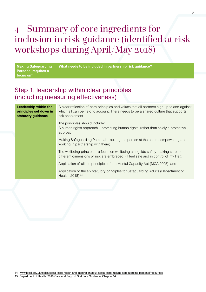## 4 Summary of core ingredients for inclusion in risk guidance (identified at risk workshops during April/May 2018)

| <b>Making Safeguarding</b> |
|----------------------------|
| <b>Personal requires a</b> |
| focus on $14$              |

**What needs to be included in partnership risk guidance?**

## Step 1: leadership within clear principles (including measuring effectiveness)

**Leadership within the principles set down in statutory guidance** A clear reflection of core principles and values that all partners sign up to and against which all can be held to account. There needs to be a shared culture that supports risk enablement. The principles should include: A human rights approach – promoting human rights, rather than solely a protective approach; Making Safeguarding Personal – putting the person at the centre, empowering and working in partnership with them; The wellbeing principle – a focus on wellbeing alongside safety, making sure the different dimensions of risk are embraced. ('I feel safe and in control of my life'); Application of all the principles of the Mental Capacity Act (MCA 2005); and Application of the six statutory principles for Safeguarding Adults (Department of Health, 2018)<sup>15xii</sup>.

<sup>14</sup> [www.local.gov.uk/topics/social-care-health-and-integration/adult-social-care/making-safeguarding-personal/resources](http://www.local.gov.uk/topics/social-care-health-and-integration/adult-social-care/making-safeguarding-personal/resources)

<sup>15</sup> Department of Health, 2018 Care and Support Statutory Guidance, Chapter 14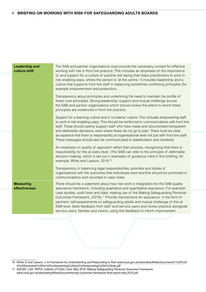| <b>Leadership and</b><br>culture shift | The SAB and partner organisations must provide the necessary context for effective<br>working with risk in front line practice. This includes an emphasis on the importance<br>of, and support for, a culture of positive risk taking that helps practitioners to work in<br>risk enabling ways, where the person is 'at the centre.' It includes leadership and a<br>culture that supports front line staff in balancing sometimes conflicting principles (for<br>example empowerment and protection).                                                                                                                    |
|----------------------------------------|----------------------------------------------------------------------------------------------------------------------------------------------------------------------------------------------------------------------------------------------------------------------------------------------------------------------------------------------------------------------------------------------------------------------------------------------------------------------------------------------------------------------------------------------------------------------------------------------------------------------------|
|                                        | Transparency about principles and underlining the need to maintain the profile of<br>these core principles. Strong leadership, support and mutual challenge across<br>the SAB and partner organisations which should review the extent to which these<br>principles are evidenced in front line practice.                                                                                                                                                                                                                                                                                                                  |
|                                        | Support for a learning culture and a 'no blame' culture. This includes empowering staff<br>to work in risk enabling ways. This should be reinforced in communications with front line<br>staff. These should openly support staff who have made and documented transparent<br>and defensible decisions, even where these do not go to plan. There must be clear<br>acceptance that there is responsibility at organisational level not just with front line staff.<br>These messages should also be communicated to stakeholders and residents.                                                                            |
|                                        | An emphasis on quality of approach rather than process, recognising that there is<br>responsibility for this at every level. (The SAB can refer to the principle of defensible<br>decision making, which is set out in examples of guidance cited in this briefing, for<br>example, White and Lawson, 2018. <sup>16</sup>                                                                                                                                                                                                                                                                                                  |
|                                        | Transparency in balancing legal responsibilities, priorities and duties of<br>organisations with the outcomes that individuals want and this should be promoted in<br>communications and recorded in case notes.                                                                                                                                                                                                                                                                                                                                                                                                           |
| <b>Measuring</b><br>effectiveness      | There should be a statement about how risk work is integrated into the SAB quality<br>assurance framework, including qualitative and quantitative assurance. For example:<br>case studies, audit tools and data; making use of the Making Safeguarding Personal<br>Outcomes Framework, (2018). <sup>17</sup> Provide mechanisms for assurance in the form of<br>partners' self-assessments on safeguarding adults and mutual challenge of this at<br>SAB level. Seek feedback from staff and service users and review practice alongside<br>service users, families and carers; using this feedback to inform improvement. |
|                                        |                                                                                                                                                                                                                                                                                                                                                                                                                                                                                                                                                                                                                            |

<sup>16</sup> White, E and Lawson, J. A Framework for Understanding and Responding to Risk [www.local.gov.uk/sites/default/files/documents/1%29%20](http://www.local.gov.uk/sites/default/files/documents/1%29%20A%20framework%20for%20understanding%20and%20responding%20to%20risk.pdf) [A%20framework%20for%20understanding%20and%20responding%20to%20risk.pdf](http://www.local.gov.uk/sites/default/files/documents/1%29%20A%20framework%20for%20understanding%20and%20responding%20to%20risk.pdf)

<sup>17</sup> ADASS, LGA, RiPFA, Institute of Public Care, May 2018, Making Safeguarding Personal Outcomes Framework [www.local.gov.uk/sites/default/files/documents/msp-outcomes-framework-final-report-may-2018.pdf](http://www.local.gov.uk/sites/default/files/documents/msp-outcomes-framework-final-report-may-2018.pdf)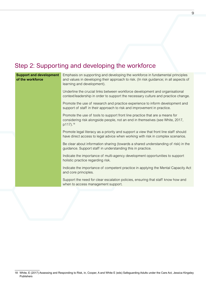## Step 2: Supporting and developing the workforce

| <b>Support and development</b><br>of the workforce | Emphasis on supporting and developing the workforce in fundamental principles<br>and values in developing their approach to risk. (In risk guidance; in all aspects of<br>learning and development). |
|----------------------------------------------------|------------------------------------------------------------------------------------------------------------------------------------------------------------------------------------------------------|
|                                                    | Underline the crucial links between workforce development and organisational<br>context/leadership in order to support the necessary culture and practice change.                                    |
|                                                    | Promote the use of research and practice experience to inform development and<br>support of staff in their approach to risk and improvement in practice.                                             |
|                                                    | Promote the use of tools to support front line practice that are a means for<br>considering risk alongside people, not an end in themselves (see White, 2017,<br>p117). <sup>18</sup>                |
|                                                    | Promote legal literacy as a priority and support a view that front line staff should<br>have direct access to legal advice when working with risk in complex scenarios.                              |
|                                                    | Be clear about information sharing (towards a shared understanding of risk) in the<br>guidance. Support staff in understanding this in practice.                                                     |
|                                                    | Indicate the importance of multi-agency development opportunities to support<br>holistic practice regarding risk.                                                                                    |
|                                                    | Indicate the importance of competent practice in applying the Mental Capacity Act<br>and core principles.                                                                                            |
|                                                    | Support the need for clear escalation policies, ensuring that staff know how and<br>when to access management support.                                                                               |
|                                                    |                                                                                                                                                                                                      |

<sup>18</sup> White, E (2017) Assessing and Responding to Risk, in, Cooper, A and White E (eds) Safeguarding Adults under the Care Act, Jessica Kingsley Publishers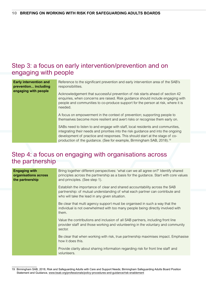## Step 3: a focus on early intervention/prevention and on engaging with people

**Early intervention and prevention... including engaging with people** Reference to the significant prevention and early intervention area of the SAB's responsibilities. Acknowledgement that successful prevention of risk starts ahead of section 42 enquiries, when concerns are raised. Risk guidance should include engaging with people and communities to co-produce support for the person at risk, where it is needed. A focus on empowerment in the context of prevention; supporting people to themselves become more resilient and avert risks or recognise them early on. SABs need to listen to and engage with staff, local residents and communities, integrating their needs and priorities into the risk guidance and into the ongoing development of practice and responses. This should start at the stage of coproduction of the guidance. (See for example, Birmingham SAB, 2018).19

## Step 4: a focus on engaging with organisations across the partnership

| <b>Engaging with</b><br>organisations across<br>the partnership | Bring together different perspectives: 'what can we all agree on?' Identify shared<br>principles across the partnership as a basis for the guidance. Start with core values<br>and principles. (See step 1). |
|-----------------------------------------------------------------|--------------------------------------------------------------------------------------------------------------------------------------------------------------------------------------------------------------|
|                                                                 | Establish the importance of clear and shared accountability across the SAB<br>partnership: of mutual understanding of what each partner can contribute and<br>who will take the lead in any given situation. |
|                                                                 | Be clear that multi agency support must be organised in such a way that the<br>individual is not overwhelmed with too many people being directly involved with<br>them.                                      |
|                                                                 | Value the contributions and inclusion of all SAB partners, including front line<br>provider staff and those working and volunteering in the voluntary and community<br>sector.                               |
|                                                                 | Be clear that when working with risk, true partnership maximises impact. Emphasise<br>how it does this.                                                                                                      |
|                                                                 | Provide clarity about sharing information regarding risk for front line staff and<br>volunteers.                                                                                                             |

<sup>19</sup> Birmingham SAB, 2018, Risk and Safeguarding Adults with Care and Support Needs; Birmingham Safeguarding Adults Board Position Statement and Guidance, [www.bsab.org/professionals/policy-procedures-and-guidance/risk-enablement](http://www.bsab.org/professionals/policy-procedures-and-guidance/risk-enablement)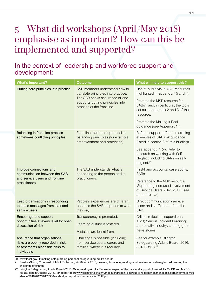## 5 What did workshops (April/May 2018) emphasise as important? How can this be implemented and supported?

## In the context of leadership and workforce support and development:

| <b>What's important?</b>                                                                                            | <b>Outcome</b>                                                                                                                                                            | What will help to support this?                                                                                                      |
|---------------------------------------------------------------------------------------------------------------------|---------------------------------------------------------------------------------------------------------------------------------------------------------------------------|--------------------------------------------------------------------------------------------------------------------------------------|
| Putting core principles into practice                                                                               | SAB members understand how to<br>translate principles into practice.<br>The SAB seeks assurance of and<br>supports putting principles into<br>practice at the front line. | Use of audio visual (AV) resources<br>highlighted in appendix 1(i and ii).                                                           |
|                                                                                                                     |                                                                                                                                                                           | Promote the MSP resource for<br>SABs <sup>20</sup> and, in particular, the tools<br>set out in appendix 2 and 3 of that<br>resource. |
|                                                                                                                     |                                                                                                                                                                           | Promote the Making it Real<br>guidance (see Appendix 1,i).                                                                           |
| Balancing in front line practice<br>sometimes conflicting principles                                                | Front line staff are supported in<br>balancing principles (for example,<br>empowerment and protection).                                                                   | Refer to support offered in existing<br>examples of SAB risk guidance<br>(listed in section 3 of this briefing).                     |
|                                                                                                                     |                                                                                                                                                                           | See appendix 1 (v). Refer to<br>research on working with Self<br>Neglect, including SARs on self-<br>neglect. <sup>21</sup>          |
| Improve connections and<br>communication between the SAB                                                            | The SAB understands what is<br>happening to the person and to                                                                                                             | First-hand accounts, case audits,<br><b>SARs</b>                                                                                     |
| and service users and frontline<br>practitioners                                                                    | practitioners.                                                                                                                                                            | Reference to the MSP resource<br>'Supporting increased involvement<br>of Service Users' (Dec 2017) (see<br>appendix 1, vi).          |
| Lead organisations in responding<br>to these messages from staff and<br>service users                               | People's experiences are different<br>because the SAB responds to what<br>they say.                                                                                       | Direct communication (service<br>users and staff) to and from the<br>SAB.                                                            |
| Encourage and support<br>opportunities at every level for open                                                      | Transparency is promoted.                                                                                                                                                 | Critical reflection; supervision;<br>audit; Serious Incident Learning;                                                               |
| discussion of risk                                                                                                  | Learning culture is fostered.<br>Mistakes are learnt from.                                                                                                                | appreciative inquiry; sharing good<br>news stories.                                                                                  |
| Assurance that organisational<br>risks are openly recorded in risk<br>assessments alongside risks to<br>individuals | Challenge is possible (including<br>from service users, carers and<br>families) where it is required.                                                                     | See for example Islington<br>Safeguarding Adults Board, 2016,<br>SCR BB/CC. <sup>22</sup>                                            |

20 [www.local.gov.uk/making-safeguarding-personal-safeguarding-adults-boards](http://www.local.gov.uk/making-safeguarding-personal-safeguarding-adults-boards)

21 Preston-Shoot, M Journal of Adult Protection, Vol20 No 2 2018; Learning from safeguarding adult reviews on self-neglect: addressing the challenge of change

22 Islington Safeguarding Adults Board (2016) Safeguarding Adults Review in respect of the care and support of two adults Ms BB and Ms CC. Ms BB died in October 2015. Abridged Report [www.islington.gov.uk/~/media/sharepoint-lists/public-records/healthandsocialcare/information/gu](http://www.islington.gov.uk/~/media/sharepoint-lists/public-records/healthandsocialcare/information/guidance/20162017/20170308sarabridgedreportmsbbandmsccfeb2017.pdf) [idance/20162017/20170308sarabridgedreportmsbbandmsccfeb2017.pdf](http://www.islington.gov.uk/~/media/sharepoint-lists/public-records/healthandsocialcare/information/guidance/20162017/20170308sarabridgedreportmsbbandmsccfeb2017.pdf)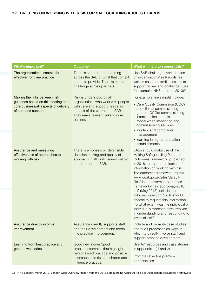| <b>What's important?</b>                                                                                                             | <b>Outcome</b>                                                                                                                                                                         | What will help to support this?                                                                                                                                                                                                                                                                                                                                                                                                                                                                                                                                       |
|--------------------------------------------------------------------------------------------------------------------------------------|----------------------------------------------------------------------------------------------------------------------------------------------------------------------------------------|-----------------------------------------------------------------------------------------------------------------------------------------------------------------------------------------------------------------------------------------------------------------------------------------------------------------------------------------------------------------------------------------------------------------------------------------------------------------------------------------------------------------------------------------------------------------------|
| The organisational context for<br>effective front line practice                                                                      | There is shared understanding<br>across the SAB of what that context<br>needs to provide. There is mutual<br>challenge across partners.                                                | Use SAB challenge events based<br>on organisations' self-audits, as<br>well as case audits/discussions to<br>support review and challenge. (See<br>for example, NHS London, 2013) <sup>23</sup>                                                                                                                                                                                                                                                                                                                                                                       |
| Making the links between risk<br>guidance based on this briefing and<br>core business/all aspects of delivery<br>of care and support | Risk is understood by all<br>organisations who work with people<br>with care and support needs as<br>a result of the work of the SAB.<br>They make relevant links to core<br>business. | For example, links might include:<br>• Care Quality Commision (CQC)<br>and clinical commissioning<br>groups (CCGs) commissioning<br>intentions include this<br>model when inspecting and<br>commissioning services<br>• incident and complaints<br>management<br>• learning in higher education<br>establishments.                                                                                                                                                                                                                                                    |
| Assurance and measuring<br>effectiveness of approaches to<br>working with risk                                                       | There is emphasis on defensible<br>decision making and quality of<br>approach in all work carried out by<br>members of the SAB.                                                        | SABs should make use of the<br>Making Safeguarding Personal<br>Outcomes Framework, published<br>in 2018, to support collection of<br>information on working with risk.<br>The outcomes framework https://<br>www.local.gov.uk/sites/default/<br>files/documents/msp-outcomes-<br>framework-final-report-may-2018.<br>pdf (May 2018) includes the<br>following question. SABs should<br>choose to request this information:<br>'To what extent was the individual or<br>individual's representative involved<br>in understanding and responding to<br>levels of risk?' |
| Assurance directly informs<br>improvement                                                                                            | Assurance directly supports staff<br>and their development and feeds<br>into practice improvement.                                                                                     | Include and promote case studies<br>and audit processes as ways in<br>which to directly involve staff and<br>support practice development.                                                                                                                                                                                                                                                                                                                                                                                                                            |
| Learning from best practice and<br>good news stories                                                                                 | Good new stories/good<br>practice examples that highlight<br>personalised practice and positive<br>approaches to risk are shared and<br>influence practice.                            | Use AV resources and case studies<br>in appendix 1 (iii and $v$ ).<br>Promote reflective practice<br>opportunities.                                                                                                                                                                                                                                                                                                                                                                                                                                                   |

23 NHS London, March 2013, London-wide Overview Report from the 2012 Safeguarding Adults At Risk Self-Assessment Assurance Framework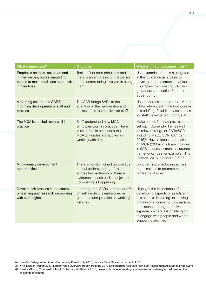| <b>What's important?</b>                                                                                                      | <b>Outcome</b>                                                                                                                                                                | What will help to support this?                                                                                                                                                                                                                                                                                                                 |
|-------------------------------------------------------------------------------------------------------------------------------|-------------------------------------------------------------------------------------------------------------------------------------------------------------------------------|-------------------------------------------------------------------------------------------------------------------------------------------------------------------------------------------------------------------------------------------------------------------------------------------------------------------------------------------------|
| Emphasis on tools, not as an end<br>in themselves, but as supporting<br>people to make decisions about risk<br>in their lives | Tools reflect core principles and<br>there is an emphasis on the person<br>at the centre being involved in using<br>them.                                                     | Use examples of tools highlighted<br>in this guidance as a basis to<br>develop and implement local tools.<br>(Examples from existing SAB risk<br>guidance, see section 3) and in<br>appendix 1, ii.                                                                                                                                             |
| A learning culture and SARS<br>informing development of staff and<br>practice                                                 | The SAB brings SARs to the<br>attention of the partnership and<br>makes these 'come alive' for staff.                                                                         | Use resources in appendix 1 v and<br>SARs referenced in the footnotes in<br>this briefing. Establish case studies<br>for staff development from SARs.                                                                                                                                                                                           |
| The MCA is applied really well in<br>practice                                                                                 | Staff understand how MCA<br>principles work in practice. There<br>is evidence in case audit that the<br>MCA principles are applied in<br>working with risk.                   | Make use of, for example, resources<br>set out in Appendix 1 iii, as well<br>as relevant range of SARs/SCRs<br>including Ms ZZ SCR, Camden,<br>$2015)^{24}$ Have a focus on questions<br>on MCA (2005) which are included<br>in SAB self-assessment assurance<br>frameworks (See for example, NHS<br>London, 2013, standard 2.5). <sup>25</sup> |
| Multi-agency development<br>opportunities                                                                                     | There is holistic, joined up practice;<br>mutual understanding of roles<br>across the partnership. There is<br>evidence in case audit that joined<br>up working is happening. | Joint training; shadowing across<br>organisations to promote mutual<br>familiarity of roles.                                                                                                                                                                                                                                                    |
| Develop risk practice in the context<br>of learning and research on working<br>with self-neglect                              | Learning from SARs and research <sup>26</sup><br>on self neglect is embedded in<br>guidance and practice on working<br>with risk.                                             | Highlight the importance of<br>developing aspects of practice in<br>this context, including: exercising<br>professional curiosity; compassion,<br>persistence; being proactive<br>especially where it is challenging<br>to engage with people and where<br>support is declined.                                                                 |

<sup>24</sup> Camden Safeguarding Adults Partnership Board, July 2015; Serious Case Review in respect of ZZ

<sup>25</sup> NHS London, March 2013, London-wide Overview Report from the 2012 Safeguarding Adults At Risk Self-Assessment Assurance Framework 26 Preston-Shoot, M Journal of Adult Protection, Vol20 No 2 2018; Learning from safeguarding adult reviews on self-neglect: addressing the

challenge of change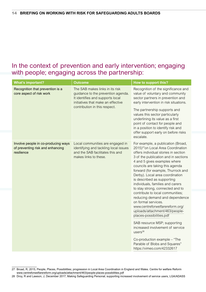## In the context of prevention and early intervention; engaging with people; engaging across the partnership:

| <b>What's important?</b>                                                              | Outcome                                                                                                                                                                          | How to support this?                                                                                                                                                                                                                                                                                                                                                                                                                                                                                                                                                                                                                                                                                                                                                                                    |
|---------------------------------------------------------------------------------------|----------------------------------------------------------------------------------------------------------------------------------------------------------------------------------|---------------------------------------------------------------------------------------------------------------------------------------------------------------------------------------------------------------------------------------------------------------------------------------------------------------------------------------------------------------------------------------------------------------------------------------------------------------------------------------------------------------------------------------------------------------------------------------------------------------------------------------------------------------------------------------------------------------------------------------------------------------------------------------------------------|
| Recognition that prevention is a<br>core aspect of risk work                          | The SAB makes links in its risk<br>guidance to the prevention agenda.<br>It identifies and supports local<br>initiatives that make an effective<br>contribution in this respect. | Recognition of the significance and<br>value of voluntary and community<br>sector partners in prevention and<br>early intervention in risk situations.<br>The partnership supports and<br>values this sector particularly<br>underlining its value as a first<br>point of contact for people and<br>in a position to identify risk and<br>offer support early on before risks<br>escalate.                                                                                                                                                                                                                                                                                                                                                                                                              |
| Involve people in co-producing ways<br>of preventing risk and enhancing<br>resilience | Local communities are engaged in<br>identifying and tackling local issues<br>and the SAB facilitates this and<br>makes links to these.                                           | For example, a publication (Broad,<br>2015) <sup>27</sup> on Local Area Coordination<br>offers individual stories in section<br>3 of the publication and in sections<br>4 and 5 gives examples where<br>councils are taking this agenda<br>forward (for example, Thurrock and<br>Derby). Local area coordination<br>is described as supporting<br>individuals, families and carers<br>to stay strong, connected and to<br>contribute to local communities;<br>reducing demand and dependence<br>on formal services.<br>www.centreforwelfarereform.org/<br>uploads/attachment/463/people-<br>places-possibilities.pdf<br>SAB resource MSP; supporting<br>increased involvement of service<br>$users^{28}$<br>Co-production example - "The<br>Parable of Blobs and Squares"<br>https://vimeo.com/42332617 |

<sup>27</sup> Broad, R, 2015, People, Places, Possibilities; progression in Local Area Coordination in England and Wales. Centre for welfare Reform [www.centreforwelfarereform.org/uploads/attachment/463/people-places-possibilities.pdf](http://www.centreforwelfarereform.org/uploads/attachment/463/people-places-possibilities.pdf)

<sup>28</sup> Droy, R and Lawson, J, December 2017, Making Safeguarding Personal; supporting increased involvement of service users, LGA/ADASS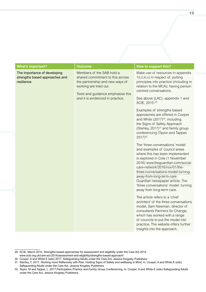| <b>What's important?</b>                                                     | <b>Outcome</b>                                                                                                                                                                                      | How to support this?                                                                                                                                                                                                                                                                                                                                                                                                                                                                                                                                                                                                                                                                                                                                                                                                                                                                                                                                                                                                                                                                                                                                                                    |
|------------------------------------------------------------------------------|-----------------------------------------------------------------------------------------------------------------------------------------------------------------------------------------------------|-----------------------------------------------------------------------------------------------------------------------------------------------------------------------------------------------------------------------------------------------------------------------------------------------------------------------------------------------------------------------------------------------------------------------------------------------------------------------------------------------------------------------------------------------------------------------------------------------------------------------------------------------------------------------------------------------------------------------------------------------------------------------------------------------------------------------------------------------------------------------------------------------------------------------------------------------------------------------------------------------------------------------------------------------------------------------------------------------------------------------------------------------------------------------------------------|
| The importance of developing<br>strengths based approaches and<br>resilience | Members of the SAB hold a<br>shared commitment to this across<br>the partnership and new ways of<br>working are tried out.<br>Tools and guidance emphasise this<br>and it is evidenced in practice. | Make use of resources in appendix<br>1(i,ii,iii,v) in respect of: putting<br>principles into practice (including in<br>relation to the MCA); having person<br>centred conversations.<br>See above (LAC), appendix 1 and<br>SCIE, 2015.29<br>Examples of strengths based<br>approaches are offered in Cooper<br>and White (2017) <sup>30</sup> , including<br>the Signs of Safety Approach<br>(Stanley, 2017) <sup>31</sup> and family group<br>conferencing (Taylor and Tapper,<br>$2017)^{32}$<br>The 'three conversations' model<br>and examples of council areas<br>where this has been implemented<br>is explored in Cole (1 November<br>2016) www.theguardian.com/social-<br>care-network/2016/nov/01/the-<br>three-conversations-model-turning-<br>away-from-long-term-care<br>Guardian newspaper article, The<br>'three conversations' model: turning<br>away from long-term care.<br>The article refers to a 'chief<br>architect' of the three conversations<br>model, Sam Newman, director of<br>consultants Partners for Change,<br>which has worked with a range<br>of councils to put the model into<br>practice. The website offers further<br>insights into the approach. |

<sup>29</sup> SCIE, March 2015, Strengths-based approaches for assessment and eligibility under the Care Act 2014 [www.scie.org.uk/care-act-2014/assessment-and-eligibility/strengths-based-approach/](http://www.scie.org.uk/care-act-2014/assessment-and-eligibility/strengths-based-approach/)

<sup>30</sup> Cooper, A and White E (eds) 2017, Safeguarding Adults under the Care Act, Jessica Kingsley Publishers

<sup>31</sup> Stanley, T, 2017, Working more Reflexively with Risk; Holding Signs of Safety and wellbeing in Mind, in, Cooper, A and White E (eds) Safeguarding Adults under the Care Act, Jessica Kingsley Publishers

<sup>32</sup> Taylor, M and Tapper, L, 2017 Participative Practice and Family Group Conferencing, in, Cooper, A and White E (eds) Safeguarding Adults under the Care Act, Jessica Kingsley Publishers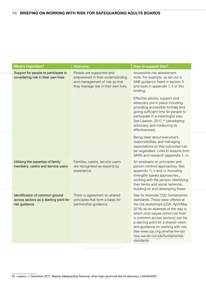| <b>What's important?</b>                                                                   | <b>Outcome</b>                                                                                                                         | How to support this?                                                                                                                                                                                                                                                                                                                                                                  |
|--------------------------------------------------------------------------------------------|----------------------------------------------------------------------------------------------------------------------------------------|---------------------------------------------------------------------------------------------------------------------------------------------------------------------------------------------------------------------------------------------------------------------------------------------------------------------------------------------------------------------------------------|
| Support for people to participate in<br>considering risk in their own lives                | People are supported and<br>empowered in their understanding<br>and management of risk so that<br>they manage risk in their own lives. | Accessible risk assessment<br>tools. For example, as set out in<br>SAB guidance listed in section 3<br>and tools in appendix 1, ii of this<br>briefing.                                                                                                                                                                                                                               |
|                                                                                            |                                                                                                                                        | Effective advice, support and<br>advocacy put in place including<br>providing accessible formats and<br>giving sufficient time for people to<br>participate in a meaningful way.<br>See Lawson, 2017, <sup>33</sup> (developing<br>advocacy and measuring its<br>effectiveness).                                                                                                      |
|                                                                                            |                                                                                                                                        | Being clear about everyone's<br>responsibilities and managing<br>expectations so that outcomes can<br>be negotiated. Links to lessons from<br>SARS and research (appendix 1, v).                                                                                                                                                                                                      |
| Utilising the expertise of family<br>members, carers and service users                     | Families, carers, service users<br>are recognised as experts by<br>experience.                                                         | An emphasis on principles and<br>person centred approaches. See<br>appendix 1i, ii and vi. Including<br>strengths based approaches,,<br>working with the person, identifying<br>their family and social networks,<br>building on and developing these.                                                                                                                                |
| Identification of common ground<br>across sectors as a starting point for<br>risk guidance | There is agreement on shared<br>principles that form a basis for<br>partnership guidance.                                              | See for example CQC fundamental<br>standards. These were offered at<br>the risk workshops (LGA, April/May<br>2018) as an example of the way in<br>which core values (which we hold<br>in common across sectors) can be<br>a starting point for a shared vision<br>and guidance on working with risk.<br>See www.cqc.org.uk/what-we-do/<br>how-we-do-our-job/fundamental-<br>standards |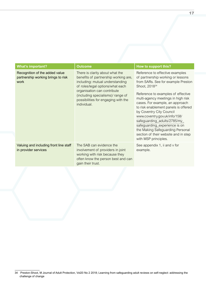| <b>What's important?</b>                                                     | <b>Outcome</b>                                                                                                                                                                                                                                                           | How to support this?                                                                                                                                                                                                                                                                                                                                                                                                                                                                                                             |
|------------------------------------------------------------------------------|--------------------------------------------------------------------------------------------------------------------------------------------------------------------------------------------------------------------------------------------------------------------------|----------------------------------------------------------------------------------------------------------------------------------------------------------------------------------------------------------------------------------------------------------------------------------------------------------------------------------------------------------------------------------------------------------------------------------------------------------------------------------------------------------------------------------|
| Recognition of the added value<br>partnership working brings to risk<br>work | There is clarity about what the<br>benefits of partnership working are,<br>including: mutual understanding<br>of roles/legal options/what each<br>organisation can contribute<br>(including specialisms)/ range of<br>possibilities for engaging with the<br>individual. | Reference to effective examples<br>of partnership working or lessons<br>from SARs. See for example Preston<br>Shoot, 2018 <sup>34</sup><br>Reference to examples of effective<br>multi-agency meetings in high risk<br>cases. For example, an approach<br>to risk enablement panels is offered<br>by Coventry City Council<br>www.coventry.gov.uk/info/158/<br>safeguarding_adults/2785/my_<br>safeguarding_experience is on<br>the Making Safeguarding Personal<br>section of their website and in step<br>with MSP principles. |
| Valuing and including front line staff<br>in provider services               | The SAB can evidence the<br>involvement of providers in joint<br>working with risk because they<br>often know the person best and can<br>gain their trust.                                                                                                               | See appendix 1, ii and v for<br>example.                                                                                                                                                                                                                                                                                                                                                                                                                                                                                         |
|                                                                              |                                                                                                                                                                                                                                                                          |                                                                                                                                                                                                                                                                                                                                                                                                                                                                                                                                  |

<sup>34</sup> Preston-Shoot, M Journal of Adult Protection, Vol20 No 2 2018; Learning from safeguarding adult reviews on self-neglect: addressing the challenge of change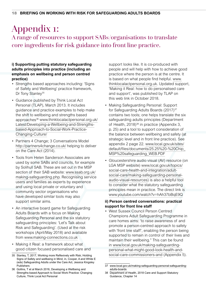## Appendix 1: A range of resources to support SABs/organisations to translate core ingredients for risk guidance into front line practice.

**i) Supporting putting statutory safeguarding adults principles into practice (including an emphasis on wellbeing and person centred practice)**

- Strengths based approaches including: 'Signs of Safety and Wellbeing' practice framework, Dr Tony Stanley<sup>35</sup>
- Guidance published by Think Local Act Personal (TLAP), March 2013. It includes guidance and practice examples to help make the shift to wellbeing and strengths based approaches<sup>36</sup> www.thinklocalactpersonal.org.uk/ Latest/Developing-a-Wellbeing-and-Strengthsbased-Approach-to-Social-Work-Practice-Changing-Culture/
- Partners 4 Change; 3 Conversations Model http://partners4change.co.uk/ helping to deliver on the Care Act (2014).
- Tools from Helen Sanderson Associates are used by some SABs and councils, for example by Solihull SAB. These are set out in the MSP section of their SAB website: [www.ssab.org.uk/](http://www.ssab.org.uk/making-safeguarding.php) [making-safeguarding.php](http://www.ssab.org.uk/making-safeguarding.php). Recognising service users and families as experts by experience and using local private or voluntary and community sector organisations who have developed similar tools may also support similar aims.
- An interactive board game for Safeguarding Adults Boards with a focus on Making Safeguarding Personal and the six statutory safeguarding principles: 'Let's Talk about Risk and Safeguarding'. (Used at the risk workshops (April/May 2018) and available from [www.making-connections.co.uk](http://www.making-connections.co.uk)
- Making it Real: a framework about what good citizen focused personalised care and

support looks like. It is co-produced with people and will help with how to achieve good practice where the person is at the centre. It is based on what people find helpful. [www.](http://www.thinklocalactpersonal.org.uk) [thinklocalactpersonal.org.uk.](http://www.thinklocalactpersonal.org.uk) Updated support, 'Making it Real: how to do personalised care and support', was published by TLAP on this web link in October 2018.

- Making Safeguarding Personal: Support for Safeguarding Adults Boards (2017)<sup>37</sup> contains two tools; one helps translate the six safeguarding adults principles (Department of Health, 2018)<sup>38</sup> in practice (Appendix 3, p. 25) and a tool to support consideration of the balance between wellbeing and safety (at strategic level and in front line practice). See appendix 2 page 22. [www.local.gov.uk/sites/](http://www.local.gov.uk/sites/default/files/documents/25.25%20-%20Chip_MSP%20safeguarding_WEB.PDF) [default/files/documents/25.25%20-%20Chip\\_](http://www.local.gov.uk/sites/default/files/documents/25.25%20-%20Chip_MSP%20safeguarding_WEB.PDF) [MSP%20safeguarding\\_WEB.PDF](http://www.local.gov.uk/sites/default/files/documents/25.25%20-%20Chip_MSP%20safeguarding_WEB.PDF)
- Gloucestershire audio visual (AV) resource (on LGA MSP website) [www.local.gov.uk/topics/](http://www.local.gov.uk/topics/social-care-health-and-integration/adult-social-care/making-safeguarding-personal-audio-visual-resources) [social-care-health-and-integration/adult](http://www.local.gov.uk/topics/social-care-health-and-integration/adult-social-care/making-safeguarding-personal-audio-visual-resources)[social-care/making-safeguarding-personal](http://www.local.gov.uk/topics/social-care-health-and-integration/adult-social-care/making-safeguarding-personal-audio-visual-resources)[audio-visual-resources\)](http://www.local.gov.uk/topics/social-care-health-and-integration/adult-social-care/making-safeguarding-personal-audio-visual-resources) is also a helpful tool to consider what the statutory safeguarding principles mean in practice. The direct link is [www.youtube.com/watch?v=hAh37bBqE9Q](http://www.youtube.com/watch?v=hAh37bBqE9Q)

#### **ii) Person centred conversations: practical support for front line staff**

• West Sussex Council Person Centred Champions Adult Safeguarding Programme in care homes aims: 'to raise awareness of and promote a person-centred approach to safety with 'front line staff', enabling the person being supported to remain in control of their lives and maintain their wellbeing." This can be found in [www.local.gov.uk/making-safeguarding](http://www.local.gov.uk/making-safeguarding-personal-what-might-good-look-health-and-social-care-commissioners-and)[personal-what-might-good-look-health-and](http://www.local.gov.uk/making-safeguarding-personal-what-might-good-look-health-and-social-care-commissioners-and)[social-care-commissioners-and](http://www.local.gov.uk/making-safeguarding-personal-what-might-good-look-health-and-social-care-commissioners-and) (Appendix 5).

<sup>35</sup> Stanley, T, 2017, Working more Reflexively with Risk; Holding Signs of Safety and wellbeing in Mind, in, Cooper, A and White E (eds) Safeguarding Adults under the Care Act, Jessica Kingsley Publishers

<sup>36</sup> Gollins, T et al March 2016, Developing a Wellbeing and Strengths-based Approach to Social Work Practice: Changing Culture, Think Local Act Personal

<sup>37</sup> [www.local.gov.uk/making-safeguarding-personal-safeguarding](http://www.local.gov.uk/making-safeguarding-personal-safeguarding-adults-boards)[adults-boards](http://www.local.gov.uk/making-safeguarding-personal-safeguarding-adults-boards)

<sup>38</sup> Department of Health, 2018 Care and Support Statutory Guidance, Chapter 14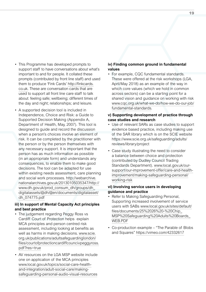- This Programme has developed prompts to support staff to have conversations about what's important to and for people. It collated these prompts (contributed by front line staff) and used them to produce 'Fink Cards' [http://finkcards.](http://finkcards.co.uk) [co.uk.](http://finkcards.co.uk) These are conversation cards that are used to support all front line care staff to talk about: feeling safe; wellbeing; different times of the day and night; relationships; and leisure.
- A supported decision tool is included in Independence, Choice and Risk: a Guide to Supported Decision Making (Appendix A, Department of Health, May, 2007). This tool is designed to guide and record the discussion when a person's choices involve an element of risk. It can be completed by the practitioner with the person or by the person themselves with any necessary support. It is important that the person has as much information as possible (in an appropriate form) and understands any consequences, to enable them to make good decisions. The tool can be adapted for use within existing needs assessment, care planning and social work processes. http://webarchive. nationalarchives.gov.uk/20130105035347/http:// www.dh.gov.uk/prod\_consum\_dh/groups/dh\_ digitalassets/@dh/@en/documents/digitalasset/ dh\_074775.pdf

#### **iii) In support of Mental Capacity Act principles and best practice**

- The judgement regarding Peggy Ross vs Cardiff Court of Protection helps explain MCA principles and person centred risk assessment, including looking at benefits as well as harms in making decisions. [www.scie.](http://www.scie.org.uk/publications/adultsafeguardinglondon/files/courtofprotectioncardiffcouncivpeggyross.pdf?res=true) [org.uk/publications/adultsafeguardinglondon/](http://www.scie.org.uk/publications/adultsafeguardinglondon/files/courtofprotectioncardiffcouncivpeggyross.pdf?res=true) [files/courtofprotectioncardiffcouncivpeggyross.](http://www.scie.org.uk/publications/adultsafeguardinglondon/files/courtofprotectioncardiffcouncivpeggyross.pdf?res=true) [pdf?res=true](http://www.scie.org.uk/publications/adultsafeguardinglondon/files/courtofprotectioncardiffcouncivpeggyross.pdf?res=true)
- AV resources on the LGA MSP website include one on application of the MCA principles [www.local.gov.uk/topics/social-care-health](http://www.local.gov.uk/topics/social-care-health-and-integration/adult-social-care/making-safeguarding-personal-audio-visual-resources)[and-integration/adult-social-care/making](http://www.local.gov.uk/topics/social-care-health-and-integration/adult-social-care/making-safeguarding-personal-audio-visual-resources)[safeguarding-personal-audio-visual-resources](http://www.local.gov.uk/topics/social-care-health-and-integration/adult-social-care/making-safeguarding-personal-audio-visual-resources)

#### **iv) Finding common ground in fundamental values**

• For example, CQC fundamental standards. These were offered at the risk workshops (LGA, April/May 2018) as an example of the way in which core values (which we hold in common across sectors) can be a starting point for a shared vision and guidance on working with risk [www.cqc.org.uk/what-we-do/how-we-do-our-job/](http://www.cqc.org.uk/what-we-do/how-we-do-our-job/fundamental-standards) [fundamental-standards](http://www.cqc.org.uk/what-we-do/how-we-do-our-job/fundamental-standards).

#### **v) Supporting development of practice through case studies and research**

- Use of relevant SARs as case studies to support evidence based practice, including making use of the SAR library which is on the SCIE website https://www.scie.org.uk/safeguarding/adults/ reviews/library/project
- Case study illustrating the need to consider a balance between choice and protection (contributed by Dudley Council Trading Standards Department). [www.local.gov.uk/our](http://www.local.gov.uk/our-support/our-improvement-offer/care-and-health-improvement/making-safeguarding-personal/working-risk)[support/our-improvement-offer/care-and-health](http://www.local.gov.uk/our-support/our-improvement-offer/care-and-health-improvement/making-safeguarding-personal/working-risk)[improvement/making-safeguarding-personal/](http://www.local.gov.uk/our-support/our-improvement-offer/care-and-health-improvement/making-safeguarding-personal/working-risk) [working-risk](http://www.local.gov.uk/our-support/our-improvement-offer/care-and-health-improvement/making-safeguarding-personal/working-risk)

#### **vi) Involving service users in developing guidance and practice**

- Refer to Making Safeguarding Personal, Supporting increased involvement of service users with SABs [www.local.gov.uk/sites/default/](http://www.local.gov.uk/sites/default/files/documents/25%2026%20-%20Chip_MSP%20Safeguarding%20Adults%20Boards_WEB.PDF) [files/documents/25%2026%20-%20Chip\\_](http://www.local.gov.uk/sites/default/files/documents/25%2026%20-%20Chip_MSP%20Safeguarding%20Adults%20Boards_WEB.PDF) [MSP%20Safeguarding%20Adults%20Boards\\_](http://www.local.gov.uk/sites/default/files/documents/25%2026%20-%20Chip_MSP%20Safeguarding%20Adults%20Boards_WEB.PDF) [WEB.PDF](http://www.local.gov.uk/sites/default/files/documents/25%2026%20-%20Chip_MSP%20Safeguarding%20Adults%20Boards_WEB.PDF)
- Co-production example "The Parable of Blobs and Squares"<https://vimeo.com/42332617>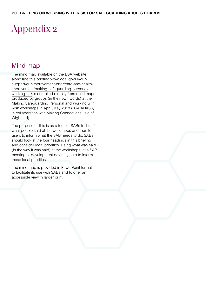## Appendix 2

## Mind map

The mind map available on the LGA website alongside this briefing [www.local.gov.uk/our](http://www.local.gov.uk/our-support/our-improvement-offer/care-and-health-improvement/making-safeguarding-personal/working-risk)[support/our-improvement-offer/care-and-health](http://www.local.gov.uk/our-support/our-improvement-offer/care-and-health-improvement/making-safeguarding-personal/working-risk)[improvement/making-safeguarding-personal/](http://www.local.gov.uk/our-support/our-improvement-offer/care-and-health-improvement/making-safeguarding-personal/working-risk) [working-risk](http://www.local.gov.uk/our-support/our-improvement-offer/care-and-health-improvement/making-safeguarding-personal/working-risk) is compiled directly from mind maps produced by groups (in their own words) at the Making Safeguarding Personal and Working with Risk workshops in April /May 2018 (LGA/ADASS, in collaboration with Making Connections, Isle of Wight Ltd).

The purpose of this is as a tool for SABs to 'hear' what people said at the workshops and then to use it to inform what the SAB needs to do. SABs should look at the four headings in this briefing and consider local priorities. Using what was said (in the way it was said) at the workshops, at a SAB meeting or development day may help to inform those local priorities.

The mind map is provided in PowerPoint format to facilitate its use with SABs and to offer an accessible view in larger print.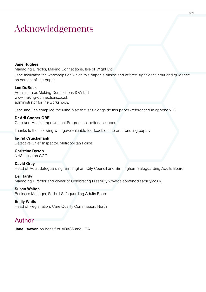## Acknowledgements

#### **Jane Hughes**

Managing Director, Making Connections, Isle of Wight Ltd

Jane facilitated the workshops on which this paper is based and offered significant input and guidance on content of the paper.

#### **Les DuBock**

Administrator, Making Connections IOW Ltd [www.making-connections.co.uk](http://www.making-connections.co.uk) administrator for the workshops.

Jane and Les compiled the Mind Map that sits alongside this paper (referenced in appendix 2).

#### **Dr Adi Cooper OBE**

Care and Health Improvement Programme, editorial support.

Thanks to the following who gave valuable feedback on the draft briefing paper:

### **Ingrid Cruickshank**

Detective Chief Inspector, Metropolitan Police

**Christine Dyson** NHS Islington CCG

#### **David Gray**

Head of Adult Safeguarding, Birmingham City Council and Birmingham Safeguarding Adults Board

#### **Esi Hardy**

Managing Director and owner of Celebrating Disability [www.celebratingdisability.co.uk](http://www.celebratingdisability.co.uk)

#### **Susan Walton**

Business Manager, Solihull Safeguarding Adults Board

#### **Emily White**

Head of Registration, Care Quality Commission, North

## Author

**Jane Lawson** on behalf of ADASS and LGA